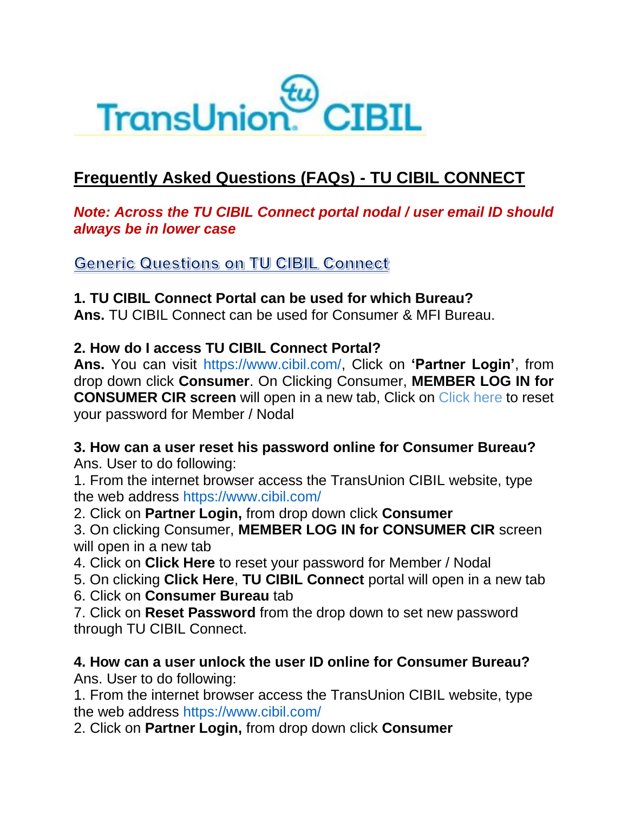

# **Frequently Asked Questions (FAQs) - TU CIBIL CONNECT**

#### *Note: Across the TU CIBIL Connect portal nodal / user email ID should always be in lower case*

**Generic Questions on TU CIBIL Connect** 

#### **1. TU CIBIL Connect Portal can be used for which Bureau?**

**Ans.** TU CIBIL Connect can be used for Consumer & MFI Bureau.

#### **2. How do I access TU CIBIL Connect Portal?**

**Ans.** You can visit https://www.cibil.com/, Click on **'Partner Login'**, from drop down click **Consumer**. On Clicking Consumer, **MEMBER LOG IN for CONSUMER CIR screen** will open in a new tab, Click on Click here to reset your password for Member / Nodal

# **3. How can a user reset his password online for Consumer Bureau?**

Ans. User to do following:

1. From the internet browser access the TransUnion CIBIL website, type the web address https://www.cibil.com/

2. Click on **Partner Login,** from drop down click **Consumer**

3. On clicking Consumer, **MEMBER LOG IN for CONSUMER CIR** screen will open in a new tab

4. Click on **Click Here** to reset your password for Member / Nodal

5. On clicking **Click Here**, **TU CIBIL Connect** portal will open in a new tab

6. Click on **Consumer Bureau** tab

7. Click on **Reset Password** from the drop down to set new password through TU CIBIL Connect.

#### **4. How can a user unlock the user ID online for Consumer Bureau?** Ans. User to do following:

1. From the internet browser access the TransUnion CIBIL website, type the web address https://www.cibil.com/

2. Click on **Partner Login,** from drop down click **Consumer**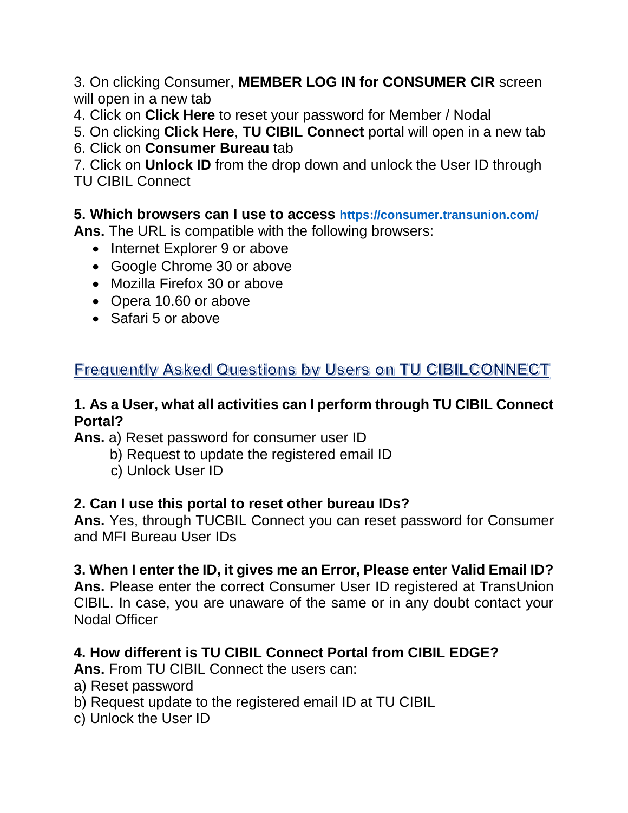3. On clicking Consumer, **MEMBER LOG IN for CONSUMER CIR** screen will open in a new tab

4. Click on **Click Here** to reset your password for Member / Nodal

5. On clicking **Click Here**, **TU CIBIL Connect** portal will open in a new tab

6. Click on **Consumer Bureau** tab

7. Click on **Unlock ID** from the drop down and unlock the User ID through TU CIBIL Connect

**5. Which browsers can I use to access https://consumer.transunion.com/**

**Ans.** The URL is compatible with the following browsers:

- Internet Explorer 9 or above
- Google Chrome 30 or above
- Mozilla Firefox 30 or above
- Opera 10.60 or above
- Safari 5 or above

# Frequently Asked Questions by Users on TU CIBILCONNECT

#### **1. As a User, what all activities can I perform through TU CIBIL Connect Portal?**

**Ans.** a) Reset password for consumer user ID

- b) Request to update the registered email ID
- c) Unlock User ID

## **2. Can I use this portal to reset other bureau IDs?**

**Ans.** Yes, through TUCBIL Connect you can reset password for Consumer and MFI Bureau User IDs

## **3. When I enter the ID, it gives me an Error, Please enter Valid Email ID?**

**Ans.** Please enter the correct Consumer User ID registered at TransUnion CIBIL. In case, you are unaware of the same or in any doubt contact your Nodal Officer

## **4. How different is TU CIBIL Connect Portal from CIBIL EDGE?**

**Ans.** From TU CIBIL Connect the users can:

- a) Reset password
- b) Request update to the registered email ID at TU CIBIL
- c) Unlock the User ID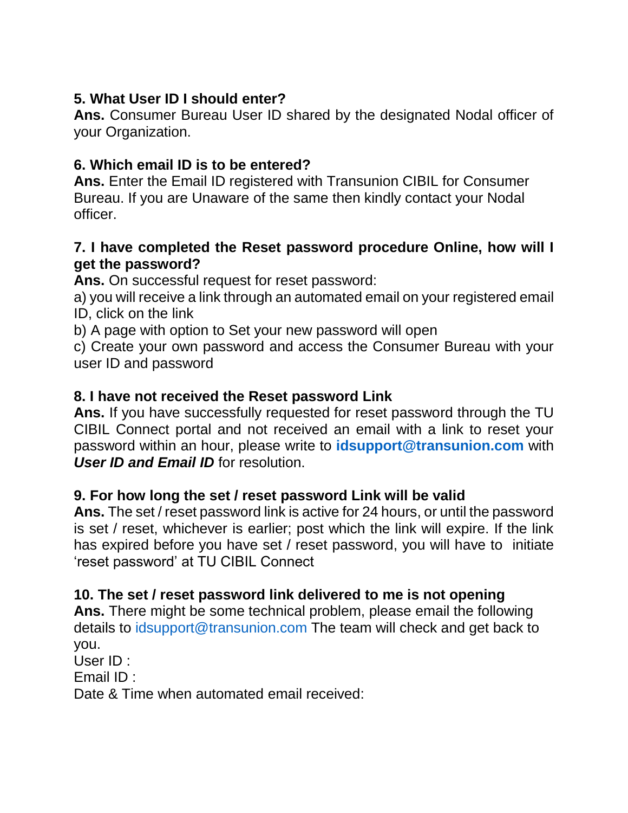## **5. What User ID I should enter?**

**Ans.** Consumer Bureau User ID shared by the designated Nodal officer of your Organization.

## **6. Which email ID is to be entered?**

**Ans.** Enter the Email ID registered with Transunion CIBIL for Consumer Bureau. If you are Unaware of the same then kindly contact your Nodal officer.

#### **7. I have completed the Reset password procedure Online, how will I get the password?**

**Ans.** On successful request for reset password:

a) you will receive a link through an automated email on your registered email ID, click on the link

b) A page with option to Set your new password will open

c) Create your own password and access the Consumer Bureau with your user ID and password

#### **8. I have not received the Reset password Link**

**Ans.** If you have successfully requested for reset password through the TU CIBIL Connect portal and not received an email with a link to reset your password within an hour, please write to **idsupport@transunion.com** with *User ID and Email ID for resolution.* 

#### **9. For how long the set / reset password Link will be valid**

**Ans.** The set / reset password link is active for 24 hours, or until the password is set / reset, whichever is earlier; post which the link will expire. If the link has expired before you have set / reset password, you will have to initiate 'reset password' at TU CIBIL Connect

## **10. The set / reset password link delivered to me is not opening**

**Ans.** There might be some technical problem, please email the following details to idsupport@transunion.com The team will check and get back to you.

User ID :

Email ID :

Date & Time when automated email received: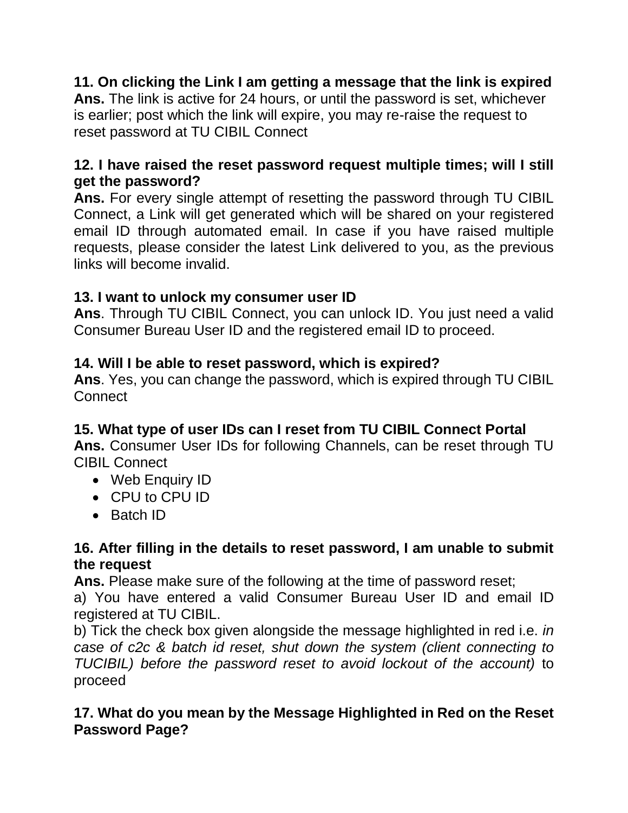# **11. On clicking the Link I am getting a message that the link is expired**

**Ans.** The link is active for 24 hours, or until the password is set, whichever is earlier; post which the link will expire, you may re-raise the request to reset password at TU CIBIL Connect

#### **12. I have raised the reset password request multiple times; will I still get the password?**

**Ans.** For every single attempt of resetting the password through TU CIBIL Connect, a Link will get generated which will be shared on your registered email ID through automated email. In case if you have raised multiple requests, please consider the latest Link delivered to you, as the previous links will become invalid.

#### **13. I want to unlock my consumer user ID**

**Ans**. Through TU CIBIL Connect, you can unlock ID. You just need a valid Consumer Bureau User ID and the registered email ID to proceed.

## **14. Will I be able to reset password, which is expired?**

**Ans**. Yes, you can change the password, which is expired through TU CIBIL **Connect** 

## **15. What type of user IDs can I reset from TU CIBIL Connect Portal**

**Ans.** Consumer User IDs for following Channels, can be reset through TU CIBIL Connect

- Web Enquiry ID
- CPU to CPU ID
- Batch ID

#### **16. After filling in the details to reset password, I am unable to submit the request**

**Ans.** Please make sure of the following at the time of password reset;

a) You have entered a valid Consumer Bureau User ID and email ID registered at TU CIBIL.

b) Tick the check box given alongside the message highlighted in red i.e. *in case of c2c & batch id reset, shut down the system (client connecting to TUCIBIL) before the password reset to avoid lockout of the account)* to proceed

## **17. What do you mean by the Message Highlighted in Red on the Reset Password Page?**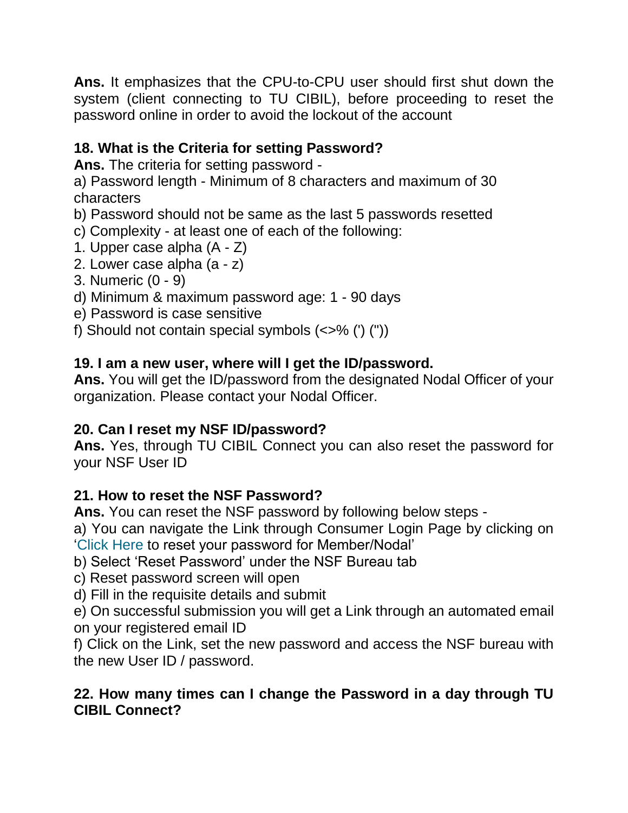**Ans.** It emphasizes that the CPU-to-CPU user should first shut down the system (client connecting to TU CIBIL), before proceeding to reset the password online in order to avoid the lockout of the account

# **18. What is the Criteria for setting Password?**

**Ans.** The criteria for setting password -

a) Password length - Minimum of 8 characters and maximum of 30 characters

b) Password should not be same as the last 5 passwords resetted

c) Complexity - at least one of each of the following:

- 1. Upper case alpha (A Z)
- 2. Lower case alpha (a z)
- 3. Numeric (0 9)
- d) Minimum & maximum password age: 1 90 days
- e) Password is case sensitive
- f) Should not contain special symbols  $(\langle > \rangle$  (") ("))

# **19. I am a new user, where will I get the ID/password.**

**Ans.** You will get the ID/password from the designated Nodal Officer of your organization. Please contact your Nodal Officer.

# **20. Can I reset my NSF ID/password?**

**Ans.** Yes, through TU CIBIL Connect you can also reset the password for your NSF User ID

# **21. How to reset the NSF Password?**

**Ans.** You can reset the NSF password by following below steps -

a) You can navigate the Link through Consumer Login Page by clicking on 'Click Here to reset your password for Member/Nodal'

- b) Select 'Reset Password' under the NSF Bureau tab
- c) Reset password screen will open
- d) Fill in the requisite details and submit

e) On successful submission you will get a Link through an automated email on your registered email ID

f) Click on the Link, set the new password and access the NSF bureau with the new User ID / password.

## **22. How many times can I change the Password in a day through TU CIBIL Connect?**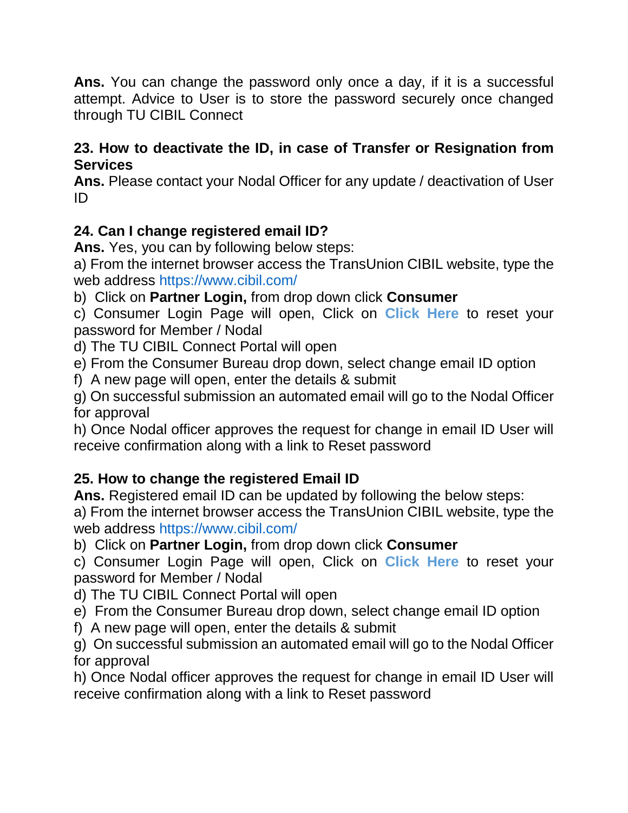**Ans.** You can change the password only once a day, if it is a successful attempt. Advice to User is to store the password securely once changed through TU CIBIL Connect

#### **23. How to deactivate the ID, in case of Transfer or Resignation from Services**

**Ans.** Please contact your Nodal Officer for any update / deactivation of User ID

# **24. Can I change registered email ID?**

**Ans.** Yes, you can by following below steps:

a) From the internet browser access the TransUnion CIBIL website, type the web address https://www.cibil.com/

b) Click on **Partner Login,** from drop down click **Consumer**

c) Consumer Login Page will open, Click on **Click Here** to reset your password for Member / Nodal

d) The TU CIBIL Connect Portal will open

e) From the Consumer Bureau drop down, select change email ID option

f) A new page will open, enter the details & submit

g) On successful submission an automated email will go to the Nodal Officer for approval

h) Once Nodal officer approves the request for change in email ID User will receive confirmation along with a link to Reset password

# **25. How to change the registered Email ID**

**Ans.** Registered email ID can be updated by following the below steps:

a) From the internet browser access the TransUnion CIBIL website, type the web address https://www.cibil.com/

b) Click on **Partner Login,** from drop down click **Consumer**

c) Consumer Login Page will open, Click on **Click Here** to reset your password for Member / Nodal

d) The TU CIBIL Connect Portal will open

e) From the Consumer Bureau drop down, select change email ID option

f) A new page will open, enter the details & submit

g) On successful submission an automated email will go to the Nodal Officer for approval

h) Once Nodal officer approves the request for change in email ID User will receive confirmation along with a link to Reset password